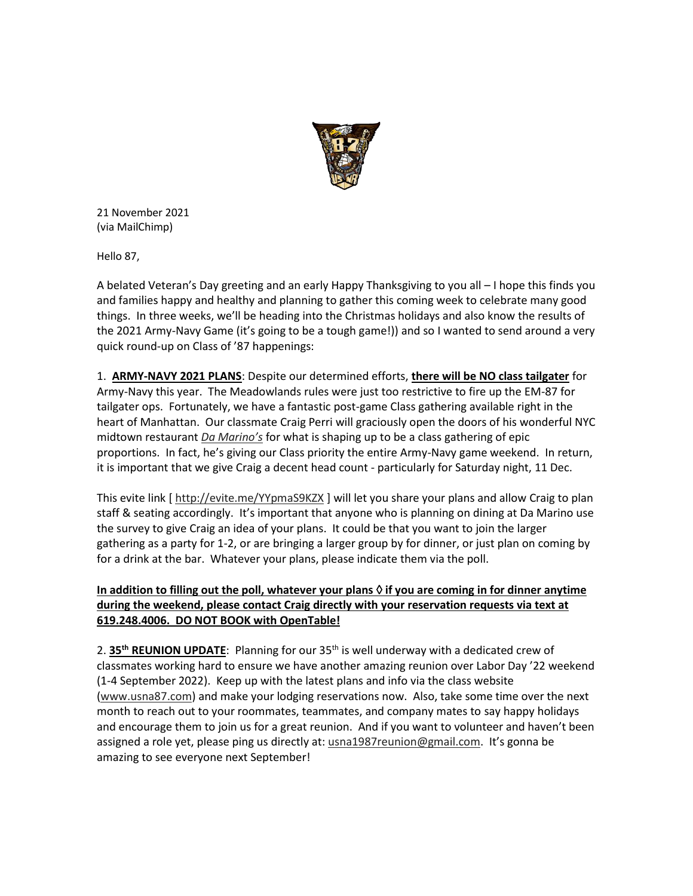

21 November 2021 (via MailChimp)

Hello 87,

A belated Veteran's Day greeting and an early Happy Thanksgiving to you all – I hope this finds you and families happy and healthy and planning to gather this coming week to celebrate many good things. In three weeks, we'll be heading into the Christmas holidays and also know the results of the 2021 Army-Navy Game (it's going to be a tough game!)) and so I wanted to send around a very quick round-up on Class of '87 happenings:

1. **ARMY-NAVY 2021 PLANS**: Despite our determined efforts, **there will be NO class tailgater** for Army-Navy this year. The Meadowlands rules were just too restrictive to fire up the EM-87 for tailgater ops. Fortunately, we have a fantastic post-game Class gathering available right in the heart of Manhattan. Our classmate Craig Perri will graciously open the doors of his wonderful NYC midtown restaurant *[Da Marino's](https://urldefense.com/v3/__https:/usna87.us8.list-manage.com/track/click?u=2684e72b50947e1384ea3ea73&id=a57d6e1702&e=71e63943a2__;!!MvWE!UHhdwzcflnSnJ6FVaW4pbjuxpkTmu2HouJUNwzpeLqy5CemIN90QEdsLRp1BDs01Fg$)* for what is shaping up to be a class gathering of epic proportions. In fact, he's giving our Class priority the entire Army-Navy game weekend. In return, it is important that we give Craig a decent head count - particularly for Saturday night, 11 Dec.

This evite link [ [http://evite.me/YYpmaS9KZX](https://urldefense.com/v3/__https:/usna87.us8.list-manage.com/track/click?u=2684e72b50947e1384ea3ea73&id=b2b899fcf6&e=71e63943a2__;!!MvWE!UHhdwzcflnSnJ6FVaW4pbjuxpkTmu2HouJUNwzpeLqy5CemIN90QEdsLRp3ZOwEVew$) ] will let you share your plans and allow Craig to plan staff & seating accordingly. It's important that anyone who is planning on dining at Da Marino use the survey to give Craig an idea of your plans. It could be that you want to join the larger gathering as a party for 1-2, or are bringing a larger group by for dinner, or just plan on coming by for a drink at the bar. Whatever your plans, please indicate them via the poll.

## **In addition to filling out the poll, whatever your plans if you are coming in for dinner anytime during the weekend, please contact Craig directly with your reservation requests via text at 619.248.4006. DO NOT BOOK with OpenTable!**

2. **35th REUNION UPDATE**: Planning for our 35th is well underway with a dedicated crew of classmates working hard to ensure we have another amazing reunion over Labor Day '22 weekend (1-4 September 2022). Keep up with the latest plans and info via the class website [\(www.usna87.com\)](https://urldefense.com/v3/__https:/usna87.us8.list-manage.com/track/click?u=2684e72b50947e1384ea3ea73&id=ee4cb8efae&e=71e63943a2__;!!MvWE!UHhdwzcflnSnJ6FVaW4pbjuxpkTmu2HouJUNwzpeLqy5CemIN90QEdsLRp3VsRbObA$) and make your lodging reservations now. Also, take some time over the next month to reach out to your roommates, teammates, and company mates to say happy holidays and encourage them to join us for a great reunion. And if you want to volunteer and haven't been assigned a role yet, please ping us directly at: [usna1987reunion@gmail.com.](mailto:usna1987reunion@gmail.com) It's gonna be amazing to see everyone next September!